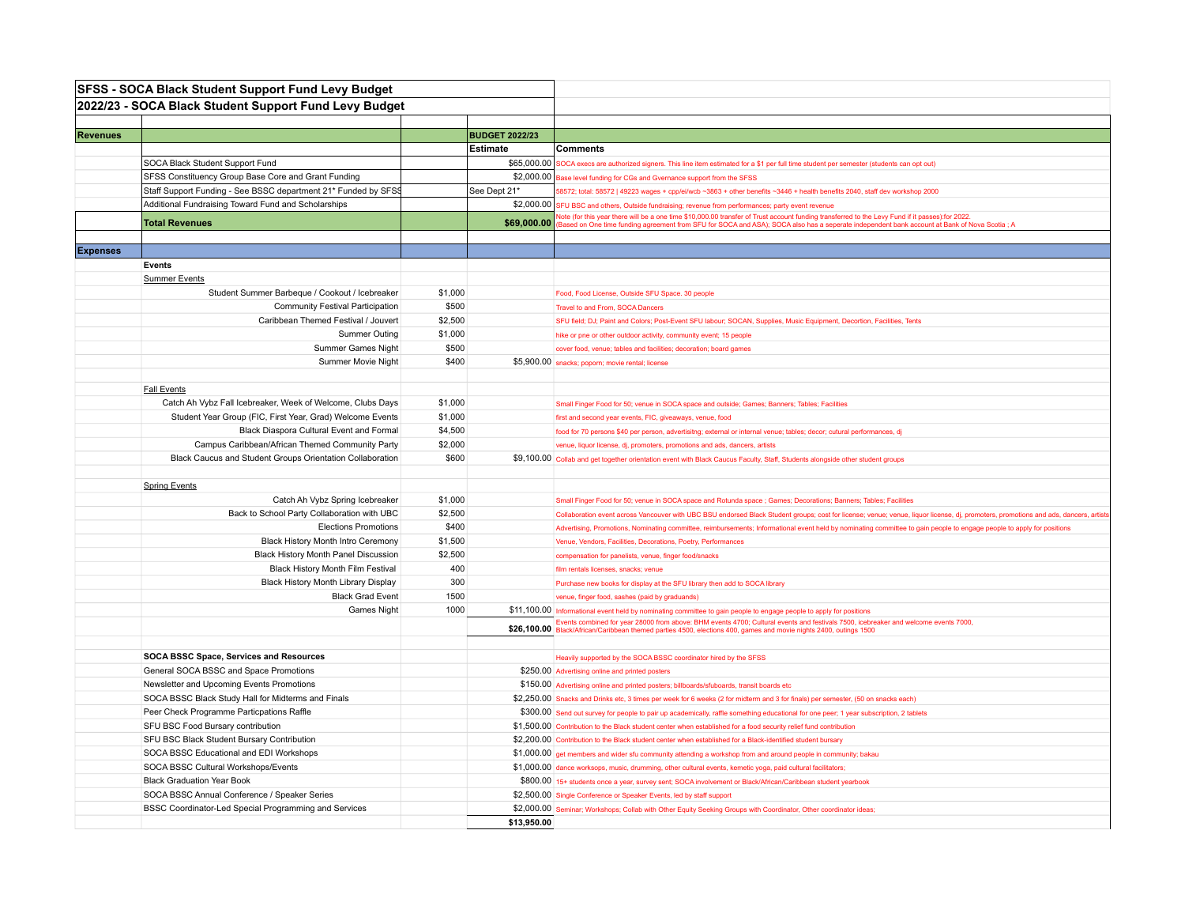|                 | <b>SFSS - SOCA Black Student Support Fund Levy Budget</b>      |         |                       |                                                                                                                                                                                                                                                                                                |
|-----------------|----------------------------------------------------------------|---------|-----------------------|------------------------------------------------------------------------------------------------------------------------------------------------------------------------------------------------------------------------------------------------------------------------------------------------|
|                 | 2022/23 - SOCA Black Student Support Fund Levy Budget          |         |                       |                                                                                                                                                                                                                                                                                                |
|                 |                                                                |         |                       |                                                                                                                                                                                                                                                                                                |
| <b>Revenues</b> |                                                                |         | <b>BUDGET 2022/23</b> |                                                                                                                                                                                                                                                                                                |
|                 |                                                                |         | Estimate              | <b>Comments</b>                                                                                                                                                                                                                                                                                |
|                 | SOCA Black Student Support Fund                                |         | \$65,000.00           | SOCA execs are authorized signers. This line item estimated for a \$1 per full time student per semester (students can opt out)                                                                                                                                                                |
|                 | SFSS Constituency Group Base Core and Grant Funding            |         | \$2,000.00            | Base level funding for CGs and Gvernance support from the SFSS                                                                                                                                                                                                                                 |
|                 | Staff Support Funding - See BSSC department 21* Funded by SFSS |         | See Dept 21*          | 58572; total: 58572   49223 wages + cpp/ei/wcb ~3863 + other benefits ~3446 + health benefits 2040, staff dev workshop 2000                                                                                                                                                                    |
|                 | Additional Fundraising Toward Fund and Scholarships            |         | \$2,000.00            | SFU BSC and others, Outside fundraising; revenue from performances; party event revenue                                                                                                                                                                                                        |
|                 | <b>Total Revenues</b>                                          |         | \$69,000.00           | Note (for this year there will be a one time \$10,000.00 transfer of Trust account funding transferred to the Levy Fund if it passes):for 2022.<br>Based on One time funding agreement from SFU for SOCA and ASA); SOCA also has a seperate independent bank account at Bank of Nova Scotia; A |
|                 |                                                                |         |                       |                                                                                                                                                                                                                                                                                                |
| <b>Expenses</b> |                                                                |         |                       |                                                                                                                                                                                                                                                                                                |
|                 | Events                                                         |         |                       |                                                                                                                                                                                                                                                                                                |
|                 | <b>Summer Events</b>                                           |         |                       |                                                                                                                                                                                                                                                                                                |
|                 | Student Summer Barbeque / Cookout / Icebreaker                 | \$1,000 |                       | Food, Food License, Outside SFU Space. 30 people                                                                                                                                                                                                                                               |
|                 | <b>Community Festival Participation</b>                        | \$500   |                       | Travel to and From, SOCA Dancers                                                                                                                                                                                                                                                               |
|                 | Caribbean Themed Festival / Jouvert                            | \$2,500 |                       | SFU field; DJ; Paint and Colors; Post-Event SFU labour; SOCAN, Supplies, Music Equipment, Decortion, Facilities, Tents                                                                                                                                                                         |
|                 | <b>Summer Outing</b>                                           | \$1,000 |                       | hike or pne or other outdoor activity, community event; 15 people                                                                                                                                                                                                                              |
|                 | Summer Games Night                                             | \$500   |                       | cover food, venue; tables and facilities; decoration; board games                                                                                                                                                                                                                              |
|                 | Summer Movie Night                                             | \$400   |                       | \$5,900.00 snacks; poporn; movie rental; license                                                                                                                                                                                                                                               |
|                 |                                                                |         |                       |                                                                                                                                                                                                                                                                                                |
|                 | <b>Fall Events</b>                                             |         |                       |                                                                                                                                                                                                                                                                                                |
|                 | Catch Ah Vybz Fall Icebreaker, Week of Welcome, Clubs Days     | \$1,000 |                       | Small Finger Food for 50; venue in SOCA space and outside; Games; Banners; Tables; Facilities                                                                                                                                                                                                  |
|                 | Student Year Group (FIC, First Year, Grad) Welcome Events      | \$1,000 |                       | first and second year events, FIC, giveaways, venue, food                                                                                                                                                                                                                                      |
|                 | Black Diaspora Cultural Event and Formal                       | \$4,500 |                       | food for 70 persons \$40 per person, advertisitng; external or internal venue; tables; decor; cutural performances, dj                                                                                                                                                                         |
|                 | Campus Caribbean/African Themed Community Party                | \$2,000 |                       | venue, liquor license, dj, promoters, promotions and ads, dancers, artists                                                                                                                                                                                                                     |
|                 | Black Caucus and Student Groups Orientation Collaboration      | \$600   |                       | \$9,100.00 Collab and get together orientation event with Black Caucus Faculty, Staff, Students alongside other student groups                                                                                                                                                                 |
|                 |                                                                |         |                       |                                                                                                                                                                                                                                                                                                |
|                 | <b>Spring Events</b>                                           |         |                       |                                                                                                                                                                                                                                                                                                |
|                 | Catch Ah Vybz Spring Icebreaker                                | \$1,000 |                       | Small Finger Food for 50; venue in SOCA space and Rotunda space ; Games; Decorations; Banners; Tables; Facilities                                                                                                                                                                              |
|                 | Back to School Party Collaboration with UBC                    | \$2,500 |                       | Collaboration event across Vancouver with UBC BSU endorsed Black Student groups; cost for license; venue; venue, liquor license, dj, promoters, promotions and ads, dancers, artists                                                                                                           |
|                 | <b>Elections Promotions</b>                                    | \$400   |                       | Advertising, Promotions, Nominating committee, reimbursements; Informational event held by nominating committee to gain people to engage people to apply for positions                                                                                                                         |
|                 | Black History Month Intro Ceremony                             | \$1,500 |                       | Venue, Vendors, Facilities, Decorations, Poetry, Performances                                                                                                                                                                                                                                  |
|                 | Black History Month Panel Discussion                           | \$2,500 |                       | compensation for panelists, venue, finger food/snacks                                                                                                                                                                                                                                          |
|                 | Black History Month Film Festival                              | 400     |                       | film rentals licenses, snacks; venue                                                                                                                                                                                                                                                           |
|                 | Black History Month Library Display                            | 300     |                       | Purchase new books for display at the SFU library then add to SOCA library                                                                                                                                                                                                                     |
|                 | <b>Black Grad Event</b>                                        | 1500    |                       | venue, finger food, sashes (paid by graduands)                                                                                                                                                                                                                                                 |
|                 | Games Night                                                    | 1000    |                       | \$11,100.00 Informational event held by nominating committee to gain people to engage people to apply for positions                                                                                                                                                                            |
|                 |                                                                |         |                       | Events combined for year 28000 from above: BHM events 4700; Cultural events and festivals 7500, icebreaker and welcome events 7000,<br>\$26,100.00 Black/African/Caribbean themed parties 4500, elections 400, games and movie nights 2400, outings 1500                                       |
|                 |                                                                |         |                       |                                                                                                                                                                                                                                                                                                |
|                 | SOCA BSSC Space, Services and Resources                        |         |                       | Heavily supported by the SOCA BSSC coordinator hired by the SFSS                                                                                                                                                                                                                               |
|                 | General SOCA BSSC and Space Promotions                         |         |                       | \$250.00 Advertising online and printed posters                                                                                                                                                                                                                                                |
|                 | Newsletter and Upcoming Events Promotions                      |         |                       | \$150.00 Advertising online and printed posters; billboards/sfuboards, transit boards etc                                                                                                                                                                                                      |
|                 | SOCA BSSC Black Study Hall for Midterms and Finals             |         |                       | \$2,250.00 Snacks and Drinks etc, 3 times per week for 6 weeks (2 for midterm and 3 for finals) per semester, (50 on snacks each)                                                                                                                                                              |
|                 | Peer Check Programme Particpations Raffle                      |         |                       | \$300.00 Send out survey for people to pair up academically, raffle something educational for one peer; 1 year subscription, 2 tablets                                                                                                                                                         |
|                 | SFU BSC Food Bursary contribution                              |         |                       | \$1,500.00 Contribution to the Black student center when established for a food security relief fund contribution                                                                                                                                                                              |
|                 | SFU BSC Black Student Bursary Contribution                     |         |                       | \$2,200.00 Contribution to the Black student center when established for a Black-identified student bursary                                                                                                                                                                                    |
|                 | SOCA BSSC Educational and EDI Workshops                        |         |                       | \$1,000.00 get members and wider sfu community attending a workshop from and around people in community; bakau                                                                                                                                                                                 |
|                 | SOCA BSSC Cultural Workshops/Events                            |         |                       | \$1,000.00 dance worksops, music, drumming, other cultural events, kemetic yoga, paid cultural facilitators;                                                                                                                                                                                   |
|                 | <b>Black Graduation Year Book</b>                              |         |                       | \$800.00 15+ students once a year, survey sent; SOCA involvement or Black/African/Caribbean student yearbook                                                                                                                                                                                   |
|                 | SOCA BSSC Annual Conference / Speaker Series                   |         |                       | \$2,500.00 Single Conference or Speaker Events, led by staff support                                                                                                                                                                                                                           |
|                 | BSSC Coordinator-Led Special Programming and Services          |         |                       | \$2,000.00 Seminar; Workshops; Collab with Other Equity Seeking Groups with Coordinator, Other coordinator ideas;                                                                                                                                                                              |
|                 |                                                                |         | \$13.950.00           |                                                                                                                                                                                                                                                                                                |